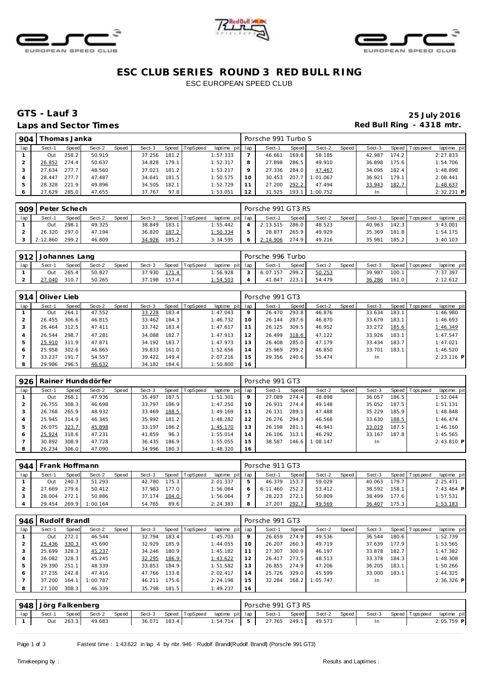





# **ESC CLUB SERIES ROUND 3 RED BULL RING** ESC EUROPEAN SPEED CLUB

### **GTS - Lauf 3 25 July 2016** Laps and Sector Times **Red Bull Ring - 4318 mtr.**

| 904 |        | [homas Janka |        |       |        |       |          |                 |    | Porsche 991 Turbo S |       |          |       |        |        |                |              |
|-----|--------|--------------|--------|-------|--------|-------|----------|-----------------|----|---------------------|-------|----------|-------|--------|--------|----------------|--------------|
| lap | Sect-1 | Speed        | Sect-2 | Speed | Sect-3 | Speed | TopSpeed | laptime pit lap |    | Sect-1              | Speed | Sect-2   | Speed | Sect-3 |        | Speed Topspeed | laptime pit  |
|     | Out    | 258.2        | 50.919 |       | 37.256 | 181.2 |          | 1:57.333        |    | 46.661              | 169.8 | 58.185   |       | 42.987 | 174.2  |                | 2:27.833     |
|     | 26.852 | 274.4        | 50.637 |       | 34.828 | 179.1 |          | 1:52.317        | 8  | 27.898              | 286.5 | 49.910   |       | 36.898 | 175.61 |                | 1:54.706     |
|     | 27.634 | 277.7        | 48.560 |       | 37.023 | 181.2 |          | 1:53.217        |    | 27.336              | 284.0 | 47.467   |       | 34.095 | 182.4  |                | 1:48.898     |
|     | 28.447 | 277.7        | 47.487 |       | 34.641 | 181.5 |          | 1:50.575        | 10 | 30.453              | 207.7 | 1:01.067 |       | 36.921 | 179.1  |                | 2:08.441     |
|     | 28.328 | 221.9        | 49.896 |       | 34.505 | 182.1 |          | 1:52.729        |    | 27.200              | 292.2 | 47.494   |       | 33.943 | 182.7  |                | 1:48.637     |
| O   | 27.629 | 285.0        | 47.655 |       | 37.767 | 97.8  |          | 1:53.051        | 12 | 31.525              | 193.1 | 1:00.752 |       | In.    |        |                | $2:32.231$ P |

| 909 | Peter Schech |              |        |       |        |       |          |                 |               | Porsche 991 GT3 RS |       |        |       |        |         |                |             |
|-----|--------------|--------------|--------|-------|--------|-------|----------|-----------------|---------------|--------------------|-------|--------|-------|--------|---------|----------------|-------------|
| lap | Sect-1       | <b>Speed</b> | Sect-2 | Speed | Sect-3 | Speed | TopSpeed | laptime pit lap |               | Sect-1             | Speed | Sect-2 | Speed | Sect-3 |         | Speed Topspeed | laptime pit |
|     | Out          | 298.1        | 49.325 |       | 38.849 | 183.1 |          | 1:55.442        |               | 2:13.515           | 286.0 | 48.523 |       | 40.963 | 142.3   |                | 3:43.001    |
|     | 26.320       | 297.0        | 47.194 |       | 36.820 | 187.2 |          | 1:50.334        | $\mathcal{P}$ | 28.877             | 265.9 | 49.929 |       | 35.369 | 181.8 l |                | 1:54.175    |
|     | 2:12.860     | 299.2        | 46.809 |       | 34.926 | 185.2 |          | 3:34.595        | $\circ$       | 2:14.906           | 274.9 | 49.216 |       | 35.981 | 185.2   |                | 3:40.103    |

| 912 | I Johannes Lang |              |        |       |        |       |                |                 | Porsche 996 Turbo |       |        |       |        |       |                 |             |
|-----|-----------------|--------------|--------|-------|--------|-------|----------------|-----------------|-------------------|-------|--------|-------|--------|-------|-----------------|-------------|
| lap | Sect-1          | <b>Speed</b> | Sect-2 | Speed | Sect-3 |       | Speed TopSpeed | laptime pit lap | Sect-1            | Speed | Sect-2 | Speed | Sect-3 |       | Speed Tops peed | laptime pit |
|     | Out             | 265.4        | 50.827 |       | 37.930 | 171.4 |                | 1:56.928        | 6:07.157          | 299.2 | 50.253 |       | 39.987 | 100.1 |                 | 7:37.397    |
|     | 21.040          | 310.7        | 50.265 |       | 37.198 | 157.4 |                | 1:54.503        | 41.847            | 223.  | 54.479 |       | 36.286 | 161.0 |                 | 2:12.612    |

| 914            | Oliver Lieb |       |        |       |        |       |                |                 |    | Porsche 991 GT3 |       |        |       |        |       |                |              |
|----------------|-------------|-------|--------|-------|--------|-------|----------------|-----------------|----|-----------------|-------|--------|-------|--------|-------|----------------|--------------|
| lap            | Sect-1      | Speed | Sect-2 | Speed | Sect-3 |       | Speed TopSpeed | laptime pit lap |    | Sect-1          | Speed | Sect-2 | Speed | Sect-3 |       | Speed Topspeed | laptime pit  |
|                | Out         | 264.1 | 47.552 |       | 33.228 | 183.4 |                | 1:47.043        | 9  | 26.470          | 293.8 | 46.876 |       | 33.634 | 183.1 |                | 1:46.980     |
|                | 26.455      | 306.6 | 46.815 |       | 33.462 | 184.3 |                | 1:46.732        | 10 | 26.144          | 287.6 | 46.870 |       | 33.679 | 183.1 |                | 1:46.693     |
| 3              | 26.464      | 312.5 | 47.411 |       | 33.742 | 183.4 |                | 1:47.617        | 11 | 26.125          | 309.5 | 46.952 |       | 33.272 | 185.6 |                | 1:46.349     |
| $\overline{4}$ | 26.544      | 298.7 | 47.281 |       | 34.088 | 182.7 |                | 1:47.913        | 12 | 26.499          | 318.6 | 47.122 |       | 33.926 | 183.1 |                | 1:47.547     |
| 5              | 25.910      | 311.9 | 47.871 |       | 34.192 | 183.7 |                | 1:47.973        | 13 | 26.408          | 285.0 | 47.179 |       | 33.434 | 183.7 |                | 1:47.021     |
| 6              | 25.958      | 302.6 | 46.865 |       | 39.833 | 161.0 |                | 1:52.656        | 14 | 25.969          | 299.2 | 46.850 |       | 33.701 | 183.1 |                | 1:46.520     |
|                | 33.237      | 191.7 | 54.557 |       | 39.422 | 149.4 |                | 2:07.216        | 15 | 29.356          | 240.6 | 55.474 |       | In.    |       |                | $2:23.116$ P |
| 8              | 29.986      | 296.5 | 46.632 |       | 34.182 | 184.6 |                | 1:50.800        | 16 |                 |       |        |       |        |       |                |              |

| 926 |        |       | Rainer Hundsdörfer |       |        |       |                |                 |    | Porsche 991 GT3 |       |          |       |           |       |                 |              |
|-----|--------|-------|--------------------|-------|--------|-------|----------------|-----------------|----|-----------------|-------|----------|-------|-----------|-------|-----------------|--------------|
| lap | Sect-1 | Speed | Sect-2             | Speed | Sect-3 |       | Speed TopSpeed | laptime pit lap |    | Sect-1          | Speed | Sect-2   | Speed | Sect-3    |       | Speed Tops peed | laptime pit  |
|     | Out    | 268.1 | 47.936             |       | 35.497 | 187.5 |                | 1:51.301        | 9  | 27.089          | 274.4 | 48.898   |       | 36.057    | 186.5 |                 | 1:52.044     |
|     | 26.755 | 308.3 | 46.698             |       | 33.797 | 186.9 |                | 1:47.250        | 10 | 26.931          | 274.4 | 49.148   |       | 35.052    | 187.5 |                 | 1:51.131     |
|     | 26.768 | 265.9 | 48.932             |       | 33.469 | 188.5 |                | 1:49.169        |    | 26.131          | 289.1 | 47.488   |       | 35.229    | 185.9 |                 | 1:48.848     |
| 4   | 25.945 | 314.9 | 46.345             |       | 35.992 | 181.2 |                | 1:48.282        | 12 | 26.276          | 294.3 | 46.568   |       | 33.630    | 188.5 |                 | 1:46.474     |
| 5   | 26.075 | 323.7 | 45.898             |       | 33.197 | 186.2 |                | 1:45.170        | 13 | 26.198          | 281.1 | 46.943   |       | 33.019    | 187.5 |                 | 1:46.160     |
| 6   | 25.924 | 318.6 | 47.231             |       | 41.859 | 96.3  |                | 1:55.014        | 14 | 26.106          | 313.1 | 46.292   |       | 33.167    | 187.8 |                 | 1:45.565     |
|     | 30.892 | 308.9 | 47.728             |       | 36.435 | 186.9 |                | 1:55.055        | 15 | 38.587          | 146.6 | 1:08.147 |       | <b>In</b> |       |                 | $2:43.810$ P |
| 8   | 26.234 | 306.0 | 47.090             |       | 34.996 | 180.3 |                | 1:48.320        | 16 |                 |       |          |       |           |       |                 |              |

| 944 | Frank Hoffmann |       |          |       |        |       |          |                 | Porsche 911 GT3 |              |        |       |        |         |                |              |
|-----|----------------|-------|----------|-------|--------|-------|----------|-----------------|-----------------|--------------|--------|-------|--------|---------|----------------|--------------|
| lap | Sect-1         | Speed | Sect-2   | Speed | Sect-3 | Speed | TopSpeed | laptime pit lap | Sect-1          | <b>Speed</b> | Sect-2 | Speed | Sect-3 |         | Speed Topspeed | laptime pit  |
|     | Out            | 240.3 | 51.293   |       | 42.780 | 175.3 |          | 2:01.337        | 46.379          | 153.7        | 59.029 |       | 40.063 | 179.7   |                | 2:25.471     |
|     | 27.669         | 279.6 | 50.412   |       | 37.983 | 177.0 |          | 1:56.064        | 6:11.460        | 252.2        | 53.412 |       | 38.592 | 158.1   |                | $7:43.464$ P |
|     | 28.004         | 272.1 | 50.886   |       | 37.174 | 184.0 |          | 1:56.064        | 28.223          | 272.1        | 50.809 |       | 38.499 | 177.6   |                | 1:57.531     |
|     | 29.454         | 269.9 | 1:00.164 |       | 54.765 | 89.6  |          | 2:24.383        | 27.207          | 292.7        | 49.569 |       | 36.407 | 175.3 l |                | 1:53.183     |

| 946 | Rudolf Brandl |       |          |       |        |       |          |             |     | Porsche 991 GT3 |       |          |       |        |       |                |              |
|-----|---------------|-------|----------|-------|--------|-------|----------|-------------|-----|-----------------|-------|----------|-------|--------|-------|----------------|--------------|
| lap | Sect-1        | Speed | Sect-2   | Speed | Sect-3 | Speed | TopSpeed | laptime pit | lap | Sect-1          | Speed | Sect-2   | Speed | Sect-3 |       | Speed Topspeed | laptime pit  |
|     | Out           | 272.1 | 46.544   |       | 32.794 | 183.4 |          | 1:45.703    | 9   | 26.659          | 274.9 | 49.536   |       | 36.544 | 180.6 |                | 1:52.739     |
| 2   | 25.436        | 330.3 | 45.690   |       | 32.929 | 185.9 |          | 1:44.055    | 10  | 26.207          | 260.3 | 49.719   |       | 37.639 | 177.9 |                | 1:53.565     |
| 3   | 25.699        | 328.3 | 45.237   |       | 34.246 | 180.9 |          | 1:45.182    | 11  | 27.307          | 300.9 | 46.197   |       | 33.878 | 182.7 |                | 1:47.382     |
| 4   | 26.082        | 328.3 | 45.245   |       | 32.295 | 186.9 |          | 1:43.622    | 12  | 26.417          | 273.5 | 48.513   |       | 33.378 | 184.3 |                | 1:48.308     |
| 5   | 29.390        | 251.1 | 48.339   |       | 33.853 | 184.9 |          | 1:51.582    | 13  | 26.855          | 274.9 | 47.206   |       | 36.205 | 183.1 |                | 1:50.266     |
| 6   | 27.235        | 242.8 | 47.416   |       | 47.766 | 133.8 |          | 2:02.417    | 14  | 25.726          | 329.0 | 45.599   |       | 33.000 | 183.1 |                | 1:44.325     |
|     | 37.200        | 164.1 | 1:00.787 |       | 46.211 | 175.6 |          | 2:24.198    | 15  | 32.284          | 168.2 | 1:05.747 |       | In.    |       |                | $2:36.326$ P |
| 8   | 27.100        | 308.3 | 46.339   |       | 35.798 | 181.5 |          | 1:49.237    | 16  |                 |       |          |       |        |       |                |              |

|     | 948 Jörg Falkenberg |       |        |       |              |  |                                       | Porsche 991 GT3 RS |       |              |  |                       |              |
|-----|---------------------|-------|--------|-------|--------------|--|---------------------------------------|--------------------|-------|--------------|--|-----------------------|--------------|
| lap | Sect-1              | Speed | Sect-2 | Speed |              |  | Sect-3 Speed TopSpeed laptime pit lap | Sect-1             | Speed | Sect-2 Speed |  | Sect-3 Speed Topspeed | laptime pit  |
|     | Out                 | 263.3 | 49.683 |       | 36.071 183.4 |  | $1:54.714$ 5 27.765 249.1 49.573      |                    |       |              |  |                       | $2:05.759$ P |

Page 1 of 3 Fastest time : 1:43.622 in lap 4 by nbr. 946 : Rudolf Brand(Rudolf Brandl) (Porsche 991 GT3)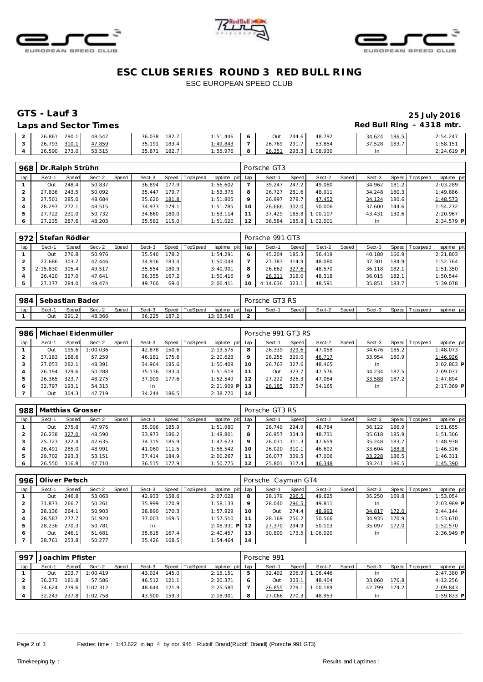





# **ESC CLUB SERIES ROUND 3 RED BULL RING** ESC EUROPEAN SPEED CLUB

### **GTS - Lauf 3 25 July 2016 Laps and Sector Times Red Bull Ring - 4318 mtr.**

| LUDJUNU JUULUI IIIIUJ |        |              |              |   |                       |        |       |              |
|-----------------------|--------|--------------|--------------|---|-----------------------|--------|-------|--------------|
| 2 26.861 290.1 48.547 |        | 36.038 182.7 | $1:51.446$ 6 |   | Out 244.6 48.792      | 34.624 | 186.5 | 2:54.247     |
| 3 26.793 310.1 47.859 |        | 35.191 183.4 | $1:49.843$ 7 |   | 26.769 291.7 53.854   | 37.528 | 183.7 | 1:58.151     |
| 4 26.590 273.0        | 53.515 | 35.871 182.7 | 1:55.976     | 8 | 26.351 293.3 1:08.930 | In.    |       | $2:24.619$ P |

| 968 | Dr. Ralph Strühn |       |        |       |        |       |          |             |     | Porsche GT3 |       |          |       |        |       |                |              |
|-----|------------------|-------|--------|-------|--------|-------|----------|-------------|-----|-------------|-------|----------|-------|--------|-------|----------------|--------------|
| lap | Sect-1           | Speed | Sect-2 | Speed | Sect-3 | Speed | TopSpeed | laptime pit | lap | Sect-1      | Speed | Sect-2   | Speed | Sect-3 |       | Speed Topspeed | laptime pit  |
|     | Out              | 248.4 | 50.837 |       | 36.894 | 177.9 |          | 1:56.602    |     | 39.247      | 247.2 | 49.080   |       | 34.962 | 181.2 |                | 2:03.289     |
|     | 27.836           | 243.5 | 50.092 |       | 35.447 | 179.7 |          | 1:53.375    | 8   | 26.727      | 281.6 | 48.911   |       | 34.248 | 180.3 |                | 1:49.886     |
|     | 27.501           | 285.0 | 48.684 |       | 35.620 | 181.8 |          | 1:51.805    | 9   | 26.997      | 278.7 | 47.452   |       | 34.124 | 180.6 |                | 1:48.573     |
|     | 28.297           | 272.1 | 48.515 |       | 34.973 | 179.1 |          | 1:51.785    | 10  | 26.666      | 302.0 | 50.006   |       | 37.600 | 144.6 |                | 1:54.272     |
|     | 27.722           | 231.0 | 50.732 |       | 34.660 | 180.0 |          | 1:53.114    |     | 37.429      | 185.8 | 1:00.107 |       | 43.431 | 130.6 |                | 2:20.967     |
| 6   | 27.235           | 287.6 | 48.203 |       | 35.582 | 115.0 |          | 1:51.020    | 12  | 36.584      | 185.8 | 1:02.001 |       | In     |       |                | $2:34.579$ P |

|     | 972 Stefan Rödler |       |        |              |        |       |          |                 |         | Porsche 991 GT3 |              |        |       |        |       |                 |             |
|-----|-------------------|-------|--------|--------------|--------|-------|----------|-----------------|---------|-----------------|--------------|--------|-------|--------|-------|-----------------|-------------|
| lap | Sect-1            | Speed | Sect-2 | <b>Speed</b> | Sect-3 | Speed | TopSpeed | laptime pit lap |         | Sect-1          | <b>Speed</b> | Sect-2 | Speed | Sect-3 |       | Speed Tops peed | laptime pit |
|     | Out               | 276.8 | 50.976 |              | 35.540 | 178.2 |          | 1:54.291        | 6       | 45.204          | 185.3        | 56.419 |       | 40.180 | 166.9 |                 | 2:21.803    |
|     | 27.686            | 303.7 | 47.446 |              | 34.916 | 183.4 |          | 1:50.048        |         | 27.383          | 314.9        | 48.080 |       | 37.301 | 184.9 |                 | 1:52.764    |
|     | 2:15.830          | 305.4 | 49.517 |              | 35.554 | 180.9 |          | 3:40.901        | 8       | 26.662 327.6    |              | 48.570 |       | 36.118 | 182.1 |                 | 1:51.350    |
|     | 26.420            | 327.0 | 47.641 |              | 36.355 | 167.2 |          | 1:50.416        | $\circ$ | 26.211          | 318.0        | 48.318 |       | 36.015 | 182.1 |                 | 1:50.544    |
|     | 27.177            | 284.0 | 49.474 |              | 49.760 | 69.0  |          | 2:06.411        | 10      | 4:14.636 323.1  |              | 48.591 |       | 35.851 | 183.7 |                 | 5:39.078    |

| 984 | Sebastian Bader |       |        |       |        |       |                |                 |        | Porsche GT3 RS |       |        |       |        |                |             |
|-----|-----------------|-------|--------|-------|--------|-------|----------------|-----------------|--------|----------------|-------|--------|-------|--------|----------------|-------------|
| lap | Sect-1          | Speed | Sect-2 | Speed | Sect-3 |       | Speed TopSpeed | laptime pit lap |        | Sect-1         | Speed | Sect-2 | Speed | Sect-3 | Speed Topspeed | laptime pit |
|     | Out             | 291.2 | 48.366 |       | 36.225 | 187.2 |                | 13:03.548       | $\sim$ |                |       |        |       |        |                |             |

| 986 |        |       | Michael Eidenmüller |       |        |       |                |                 | Porsche 991 GT3 RS |        |       |        |       |        |       |                 |              |  |
|-----|--------|-------|---------------------|-------|--------|-------|----------------|-----------------|--------------------|--------|-------|--------|-------|--------|-------|-----------------|--------------|--|
| lap | Sect-1 | Speed | Sect-2              | Speed | Sect-3 |       | Speed TopSpeed | laptime pit lap |                    | Sect-1 | Speed | Sect-2 | Speed | Sect-3 |       | Speed Tops peed | laptime pit  |  |
|     | Out    | 195.6 | 1:00.036            |       | 42.878 | 150.6 |                | 2:13.575        | 8                  | 26.339 | 329.6 | 47.058 |       | 34.676 | 185.2 |                 | 1:48.073     |  |
|     | 37.183 | 188.6 | 57.259              |       | 46.181 | 175.6 |                | 2:20.623        | $\circ$            | 26.255 | 329.0 | 46.717 |       | 33.954 | 180.9 |                 | 1:46.926     |  |
|     | 27.053 | 282.1 | 48.391              |       | 34.964 | 185.6 |                | 1:50.408        | 10                 | 26.763 | 327.6 | 48.465 |       | In     |       |                 | $2:02.863$ P |  |
| 4   | 26.194 | 329.6 | 50.288              |       | 35.136 | 183.4 |                | 1:51.618        |                    | 1uO    | 323.7 | 47.576 |       | 34.234 | 187.5 |                 | 2:09.037     |  |
| 5   | 26.365 | 323.7 | 48.275              |       | 37.909 | 177.6 |                | 1:52.549        | 12                 | 27.222 | 326.3 | 47.084 |       | 33.588 | 187.2 |                 | 1:47.894     |  |
| 6   | 32.797 | 193.1 | 54.315              |       | 1n     |       |                | $2:21.909$ P    | 13                 | 26.185 | 325.7 | 54.165 |       | In.    |       |                 | $2:17.369$ P |  |
|     | Out    | 304.3 | 47.719              |       | 34.244 | 186.5 |                | 2:38.770        | 14                 |        |       |        |       |        |       |                 |              |  |

| 988 | Matthias Grosser |       |        |       |        |       |                  |                 | Porsche GT3 RS |        |       |        |       |        |                    |                |             |  |
|-----|------------------|-------|--------|-------|--------|-------|------------------|-----------------|----------------|--------|-------|--------|-------|--------|--------------------|----------------|-------------|--|
| lap | Sect-1           | Speed | Sect-2 | Speed | Sect-3 |       | Speed   TopSpeed | laptime pit lap |                | Sect-1 | Speed | Sect-2 | Speed | Sect-3 |                    | Speed Topspeed | laptime pit |  |
|     | Out              | 275.8 | 47.976 |       | 35.096 | 185.9 |                  | 1:51.980        |                | 26.749 | 294.9 | 48.784 |       | 36.122 | 186.9              |                | 1:51.655    |  |
|     | 26.238           | 327.0 | 48.590 |       | 33.973 | 186.2 |                  | 1:48.801        | 8              | 26.957 | 304.3 | 48.731 |       | 35.618 | 185.9              |                | 1:51.306    |  |
|     | 25.723           | 322.4 | 47.635 |       | 34.315 | 185.9 |                  | 1:47.673        |                | 26.031 | 311.3 | 47.659 |       | 35.248 | 183.7 <sub>1</sub> |                | 1:48.938    |  |
|     | 26.491           | 285.0 | 48.991 |       | 41.060 | 111.5 |                  | 1:56.542        | 10             | 26.020 | 310.1 | 46.692 |       | 33.604 | 188.8              |                | 1:46.316    |  |
|     | 29.702           | 293.3 | 53.151 |       | 37.414 | 184.9 |                  | 2:00.267        |                | 26.077 | 309.5 | 47.006 |       | 33.228 | 186.5              |                | 1:46.311    |  |
|     | 26.550           | 316.8 | 47.710 |       | 36.515 | 177.9 |                  | 1:50.775        |                | 25.801 | 317.4 | 46.348 |       | 33.241 | 186.5              |                | 1:45.390    |  |

| 996 | Oliver Petsch |       |        |       |        |       |                  |                 |         | Porsche Cayman GT4 |       |          |       |        |       |                |              |  |  |
|-----|---------------|-------|--------|-------|--------|-------|------------------|-----------------|---------|--------------------|-------|----------|-------|--------|-------|----------------|--------------|--|--|
| lap | Sect-1        | Speed | Sect-2 | Speed | Sect-3 |       | Speed   TopSpeed | laptime pit lap |         | Sect-1             | Speed | Sect-2   | Speed | Sect-3 |       | Speed Topspeed | laptime pit  |  |  |
|     | Out           | 246.8 | 53.063 |       | 42.933 | 158.6 |                  | 2:07.028        | 8       | 28.179             | 296.5 | 49.625   |       | 35.250 | 169.8 |                | 1:53.054     |  |  |
|     | 31.873        | 266.7 | 50.261 |       | 35.999 | 170.9 |                  | 1:58.133        | $\circ$ | 28.040             | 296.5 | 49.811   |       | In     |       |                | $2:03.989$ P |  |  |
|     | 28.136        | 264.1 | 50.903 |       | 38.890 | 170.3 |                  | 1:57.929        | 10      | <b>Out</b>         | 274.4 | 48.993   |       | 34.817 | 172.0 |                | 2: 44.144    |  |  |
|     | 28.587        | 277.7 | 51.920 |       | 37.003 | 169.5 |                  | 1:57.510        |         | 28.169             | 256.2 | 50.566   |       | 34.935 | 170.9 |                | 1:53.670     |  |  |
| 5   | 28.236        | 270.3 | 50.781 |       | -In    |       |                  | $2:08.931$ P    | 12      | 27.370             | 294.9 | 50.103   |       | 35.097 | 172.0 |                | 1:52.570     |  |  |
| 6   | Out           | 246.1 | 51.681 |       | 35.615 | 167.4 |                  | 2:40.457        | 13      | 30.809             | 173.5 | 1:06.020 |       | In.    |       |                | $2:36.949$ P |  |  |
|     | 28.761        | 253.8 | 50.277 |       | 35.426 | 168.5 |                  | 1:54.464        | 14      |                    |       |          |       |        |       |                |              |  |  |

| 997 | Joachim Pfister |       |          |       |        |       |                |                 |   | Porsche 991 |         |          |         |        |       |                |              |  |  |  |
|-----|-----------------|-------|----------|-------|--------|-------|----------------|-----------------|---|-------------|---------|----------|---------|--------|-------|----------------|--------------|--|--|--|
| lap | Sect-1          | Speed | Sect-2   | Speed | Sect-3 |       | Speed TopSpeed | laptime pit lap |   | Sect-1      | Speed I | Sect-2   | Speed I | Sect-3 |       | Speed Topspeed | laptime pit  |  |  |  |
|     | Out             | 203.7 | 1:00.419 |       | 43.024 | 145.0 |                | 2:15.151        | 5 | 32.402      | 206.9   | 1:06.446 |         |        |       |                | $2:47.380$ P |  |  |  |
|     | 36.273          | 181.8 | 57.586   |       | 46.512 | 121.1 |                | 2:20.371        |   | Out         | 303.1   | 48.404   |         | 33.860 | 176.8 |                | 4:12.256     |  |  |  |
|     | 34.624          | 239.6 | 1:02.312 |       | 48.644 | 121.9 |                | 2:25.580        |   | 26.855      | 279.1   | 1:00.189 |         | 42.799 | 174.2 |                | 2:09.843     |  |  |  |
|     | 32.243          | 237.8 | 1:02.758 |       | 43.900 | 159.3 |                | 2:18.901        | 8 | 27.066      | 270.3   | 48.953   |         |        |       |                | $1:59.833$ P |  |  |  |